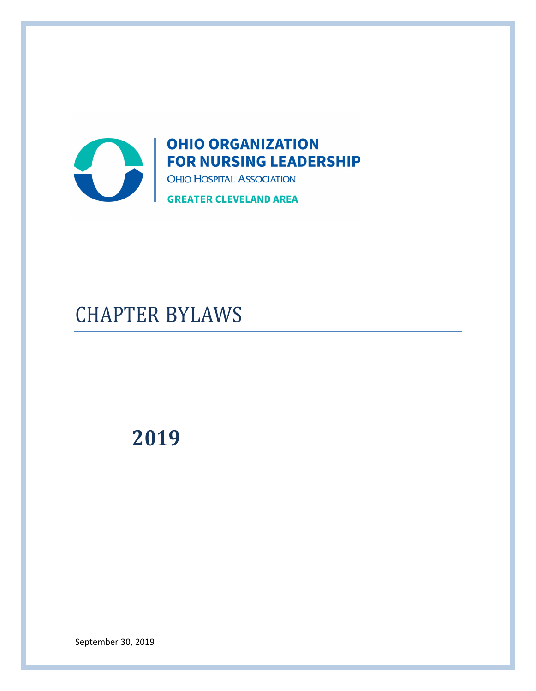

# CHAPTER BYLAWS

# **2019**

September 30, 2019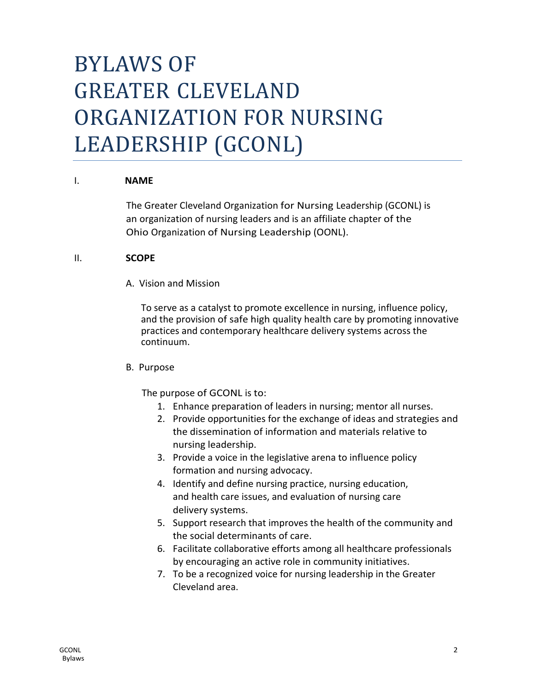# BYLAWS OF GREATER CLEVELAND ORGANIZATION FOR NURSING LEADERSHIP (GCONL)

## I. **NAME**

The Greater Cleveland Organization for Nursing Leadership (GCONL) is an organization of nursing leaders and is an affiliate chapter of the Ohio Organization of Nursing Leadership (OONL).

#### II. **SCOPE**

A. Vision and Mission

To serve as a catalyst to promote excellence in nursing, influence policy, and the provision of safe high quality health care by promoting innovative practices and contemporary healthcare delivery systems across the continuum.

#### B. Purpose

The purpose of GCONL is to:

- 1. Enhance preparation of leaders in nursing; mentor all nurses.
- 2. Provide opportunities for the exchange of ideas and strategies and the dissemination of information and materials relative to nursing leadership.
- 3. Provide a voice in the legislative arena to influence policy formation and nursing advocacy.
- 4. Identify and define nursing practice, nursing education, and health care issues, and evaluation of nursing care delivery systems.
- 5. Support research that improves the health of the community and the social determinants of care.
- 6. Facilitate collaborative efforts among all healthcare professionals by encouraging an active role in community initiatives.
- 7. To be a recognized voice for nursing leadership in the Greater Cleveland area.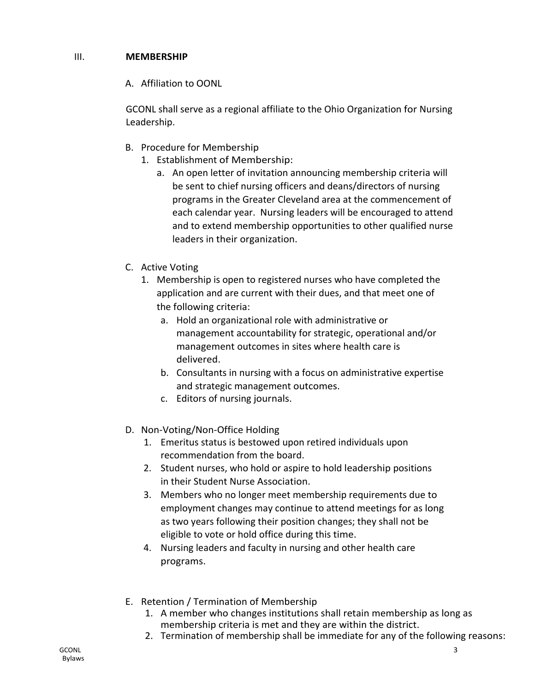# III. **MEMBERSHIP**

A. Affiliation to OONL

GCONL shall serve as a regional affiliate to the Ohio Organization for Nursing Leadership.

- B. Procedure for Membership
	- 1. Establishment of Membership:
		- a. An open letter of invitation announcing membership criteria will be sent to chief nursing officers and deans/directors of nursing programs in the Greater Cleveland area at the commencement of each calendar year. Nursing leaders will be encouraged to attend and to extend membership opportunities to other qualified nurse leaders in their organization.
- C. Active Voting
	- 1. Membership is open to registered nurses who have completed the application and are current with their dues, and that meet one of the following criteria:
		- a. Hold an organizational role with administrative or management accountability for strategic, operational and/or management outcomes in sites where health care is delivered.
		- b. Consultants in nursing with a focus on administrative expertise and strategic management outcomes.
		- c. Editors of nursing journals.
- D. Non-Voting/Non-Office Holding
	- 1. Emeritus status is bestowed upon retired individuals upon recommendation from the board.
	- 2. Student nurses, who hold or aspire to hold leadership positions in their Student Nurse Association.
	- 3. Members who no longer meet membership requirements due to employment changes may continue to attend meetings for as long as two years following their position changes; they shall not be eligible to vote or hold office during this time.
	- 4. Nursing leaders and faculty in nursing and other health care programs.
- E. Retention / Termination of Membership
	- 1. A member who changes institutions shall retain membership as long as membership criteria is met and they are within the district.
	- 2. Termination of membership shall be immediate for any of the following reasons: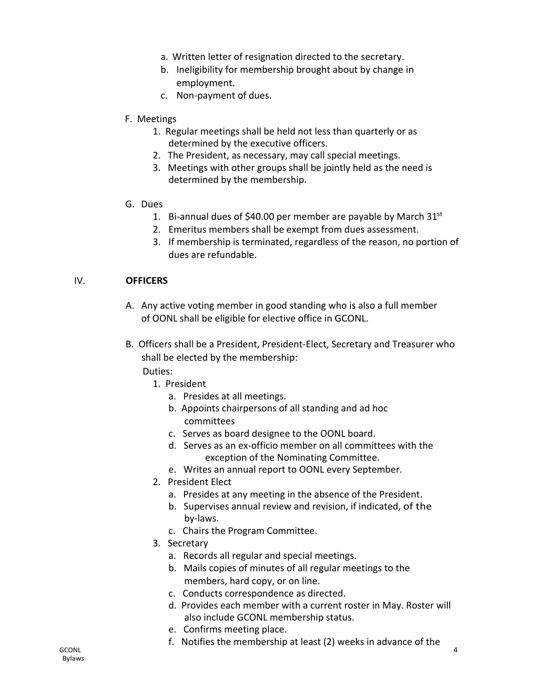- a. Written letter of resignation directed to the secretary.
- b. Ineligibility for membership brought about by change in employment.
- c. Non-payment of dues.
- F. Meetings
	- 1. Regular meetings shall be held not less than quarterly or as determined by the executive officers.
	- 2. The President, as necessary, may call special meetings.
	- 3. Meetings with other groups shall be jointly held as the need is determined by the membership.
- G. Dues
	- 1. Bi-annual dues of \$40.00 per member are payable by March  $31<sup>st</sup>$
	- 2. Emeritus members shall be exempt from dues assessment.
	- 3. If membership is terminated, regardless of the reason, no portion of dues are refundable.

#### IV. **OFFICERS**

- A. Any active voting member in good standing who is also a full member of OONL shall be eligible for elective office in GCONL.
- B. Officers shall be a President, President-Elect, Secretary and Treasurer who shall be elected by the membership: Duties:
	-
	- 1. President
		- a. Presides at all meetings.
		- b. Appoints chairpersons of all standing and ad hoc committees
		- c. Serves as board designee to the OONL board.
		- d. Serves as an ex-officio member on all committees with the exception of the Nominating Committee.
		- e. Writes an annual report to OONL every September.
	- 2. President Elect
		- a. Presides at any meeting in the absence of the President.
		- b. Supervises annual review and revision, if indicated, of the by-laws.
		- c. Chairs the Program Committee.
	- 3. Secretary
		- a. Records all regular and special meetings.
		- b. Mails copies of minutes of all regular meetings to the members, hard copy, or on line.
		- c. Conducts correspondence as directed.
		- d. Provides each member with a current roster in May. Roster will also include GCONL membership status.
		- e. Confirms meeting place.
		- f. Notifies the membership at least (2) weeks in advance of the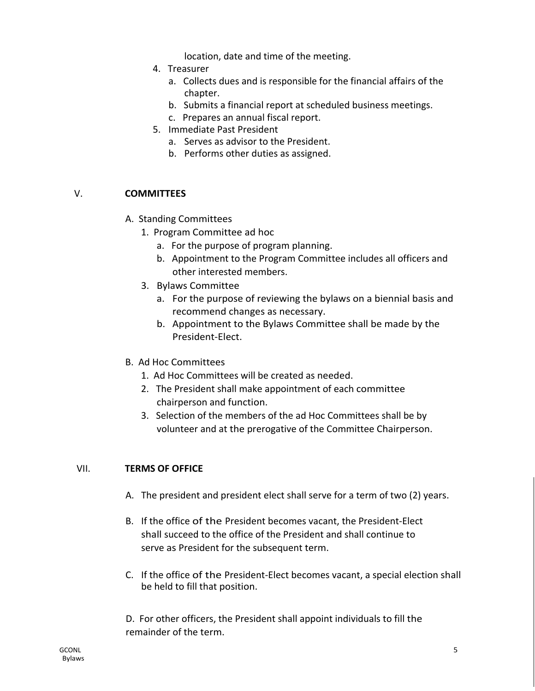location, date and time of the meeting.

- 4. Treasurer
	- a. Collects dues and is responsible for the financial affairs of the chapter.
	- b. Submits a financial report at scheduled business meetings.
	- c. Prepares an annual fiscal report.
- 5. Immediate Past President
	- a. Serves as advisor to the President.
	- b. Performs other duties as assigned.

# V. **COMMITTEES**

- A. Standing Committees
	- 1. Program Committee ad hoc
		- a. For the purpose of program planning.
		- b. Appointment to the Program Committee includes all officers and other interested members.
	- 3. Bylaws Committee
		- a. For the purpose of reviewing the bylaws on a biennial basis and recommend changes as necessary.
		- b. Appointment to the Bylaws Committee shall be made by the President-Elect.
- B. Ad Hoc Committees
	- 1. Ad Hoc Committees will be created as needed.
	- 2. The President shall make appointment of each committee chairperson and function.
	- 3. Selection of the members of the ad Hoc Committees shall be by volunteer and at the prerogative of the Committee Chairperson.

# VII. **TERMS OF OFFICE**

- A. The president and president elect shall serve for a term of two (2) years.
- B. If the office of the President becomes vacant, the President-Elect shall succeed to the office of the President and shall continue to serve as President for the subsequent term.
- C. If the office of the President-Elect becomes vacant, a special election shall be held to fill that position.

D. For other officers, the President shall appoint individuals to fill the remainder of the term.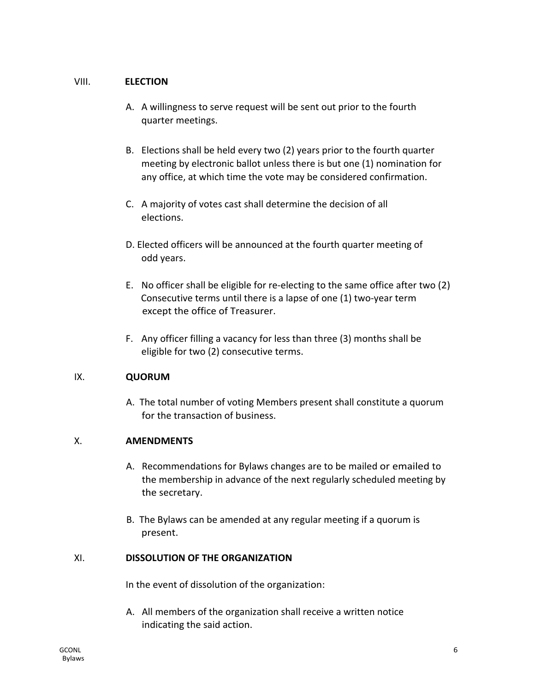## VIII. **ELECTION**

- A. A willingness to serve request will be sent out prior to the fourth quarter meetings.
- B. Elections shall be held every two (2) years prior to the fourth quarter meeting by electronic ballot unless there is but one (1) nomination for any office, at which time the vote may be considered confirmation.
- C. A majority of votes cast shall determine the decision of all elections.
- D. Elected officers will be announced at the fourth quarter meeting of odd years.
- E. No officer shall be eligible for re-electing to the same office after two (2) Consecutive terms until there is a lapse of one (1) two-year term except the office of Treasurer.
- F. Any officer filling a vacancy for less than three (3) months shall be eligible for two (2) consecutive terms.

# IX. **QUORUM**

A. The total number of voting Members present shall constitute a quorum for the transaction of business.

# X. **AMENDMENTS**

- A. Recommendations for Bylaws changes are to be mailed or emailed to the membership in advance of the next regularly scheduled meeting by the secretary.
- B. The Bylaws can be amended at any regular meeting if a quorum is present.

# XI. **DISSOLUTION OF THE ORGANIZATION**

In the event of dissolution of the organization:

A. All members of the organization shall receive a written notice indicating the said action.